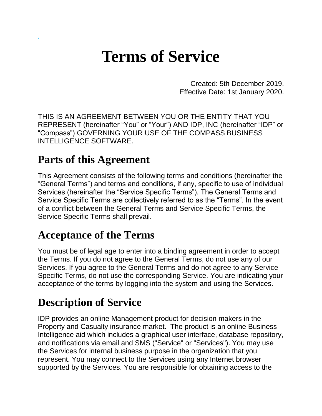# **Terms of Service**

Created: 5th December 2019. Effective Date: 1st January 2020.

THIS IS AN AGREEMENT BETWEEN YOU OR THE ENTITY THAT YOU REPRESENT (hereinafter "You" or "Your") AND IDP, INC (hereinafter "IDP" or "Compass") GOVERNING YOUR USE OF THE COMPASS BUSINESS INTELLIGENCE SOFTWARE.

#### **Parts of this Agreement**

This Agreement consists of the following terms and conditions (hereinafter the "General Terms") and terms and conditions, if any, specific to use of individual Services (hereinafter the "Service Specific Terms"). The General Terms and Service Specific Terms are collectively referred to as the "Terms". In the event of a conflict between the General Terms and Service Specific Terms, the Service Specific Terms shall prevail.

#### **Acceptance of the Terms**

You must be of legal age to enter into a binding agreement in order to accept the Terms. If you do not agree to the General Terms, do not use any of our Services. If you agree to the General Terms and do not agree to any Service Specific Terms, do not use the corresponding Service. You are indicating your acceptance of the terms by logging into the system and using the Services.

#### **Description of Service**

IDP provides an online Management product for decision makers in the Property and Casualty insurance market. The product is an online Business Intelligence aid which includes a graphical user interface, database repository, and notifications via email and SMS ("Service" or "Services"). You may use the Services for internal business purpose in the organization that you represent. You may connect to the Services using any Internet browser supported by the Services. You are responsible for obtaining access to the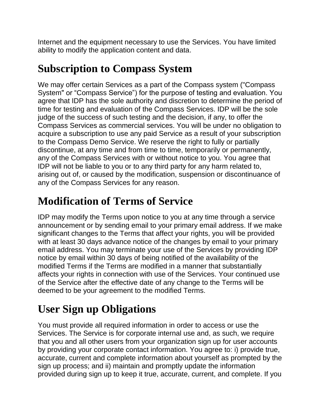Internet and the equipment necessary to use the Services. You have limited ability to modify the application content and data.

## **Subscription to Compass System**

We may offer certain Services as a part of the Compass system ("Compass System" or "Compass Service") for the purpose of testing and evaluation. You agree that IDP has the sole authority and discretion to determine the period of time for testing and evaluation of the Compass Services. IDP will be the sole judge of the success of such testing and the decision, if any, to offer the Compass Services as commercial services. You will be under no obligation to acquire a subscription to use any paid Service as a result of your subscription to the Compass Demo Service. We reserve the right to fully or partially discontinue, at any time and from time to time, temporarily or permanently, any of the Compass Services with or without notice to you. You agree that IDP will not be liable to you or to any third party for any harm related to, arising out of, or caused by the modification, suspension or discontinuance of any of the Compass Services for any reason.

## **Modification of Terms of Service**

IDP may modify the Terms upon notice to you at any time through a service announcement or by sending email to your primary email address. If we make significant changes to the Terms that affect your rights, you will be provided with at least 30 days advance notice of the changes by email to your primary email address. You may terminate your use of the Services by providing IDP notice by email within 30 days of being notified of the availability of the modified Terms if the Terms are modified in a manner that substantially affects your rights in connection with use of the Services. Your continued use of the Service after the effective date of any change to the Terms will be deemed to be your agreement to the modified Terms.

# **User Sign up Obligations**

You must provide all required information in order to access or use the Services. The Service is for corporate internal use and, as such, we require that you and all other users from your organization sign up for user accounts by providing your corporate contact information. You agree to: i) provide true, accurate, current and complete information about yourself as prompted by the sign up process; and ii) maintain and promptly update the information provided during sign up to keep it true, accurate, current, and complete. If you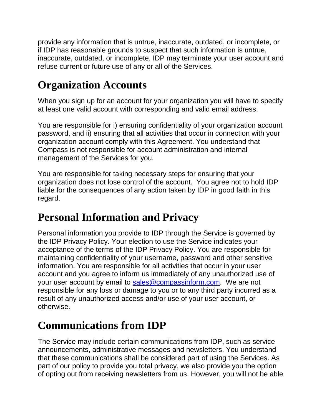provide any information that is untrue, inaccurate, outdated, or incomplete, or if IDP has reasonable grounds to suspect that such information is untrue, inaccurate, outdated, or incomplete, IDP may terminate your user account and refuse current or future use of any or all of the Services.

# **Organization Accounts**

When you sign up for an account for your organization you will have to specify at least one valid account with corresponding and valid email address.

You are responsible for i) ensuring confidentiality of your organization account password, and ii) ensuring that all activities that occur in connection with your organization account comply with this Agreement. You understand that Compass is not responsible for account administration and internal management of the Services for you.

You are responsible for taking necessary steps for ensuring that your organization does not lose control of the account. You agree not to hold IDP liable for the consequences of any action taken by IDP in good faith in this regard.

## **Personal Information and Privacy**

Personal information you provide to IDP through the Service is governed by the IDP Privacy Policy. Your election to use the Service indicates your acceptance of the terms of the IDP Privacy Policy. You are responsible for maintaining confidentiality of your username, password and other sensitive information. You are responsible for all activities that occur in your user account and you agree to inform us immediately of any unauthorized use of your user account by email to [sales@compassinform.com.](mailto:sales@compassinform.com) We are not responsible for any loss or damage to you or to any third party incurred as a result of any unauthorized access and/or use of your user account, or otherwise.

#### **Communications from IDP**

The Service may include certain communications from IDP, such as service announcements, administrative messages and newsletters. You understand that these communications shall be considered part of using the Services. As part of our policy to provide you total privacy, we also provide you the option of opting out from receiving newsletters from us. However, you will not be able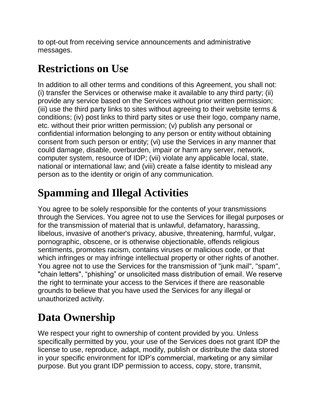to opt-out from receiving service announcements and administrative messages.

## **Restrictions on Use**

In addition to all other terms and conditions of this Agreement, you shall not: (i) transfer the Services or otherwise make it available to any third party; (ii) provide any service based on the Services without prior written permission; (iii) use the third party links to sites without agreeing to their website terms & conditions; (iv) post links to third party sites or use their logo, company name, etc. without their prior written permission; (v) publish any personal or confidential information belonging to any person or entity without obtaining consent from such person or entity; (vi) use the Services in any manner that could damage, disable, overburden, impair or harm any server, network, computer system, resource of IDP; (vii) violate any applicable local, state, national or international law; and (viii) create a false identity to mislead any person as to the identity or origin of any communication.

# **Spamming and Illegal Activities**

You agree to be solely responsible for the contents of your transmissions through the Services. You agree not to use the Services for illegal purposes or for the transmission of material that is unlawful, defamatory, harassing, libelous, invasive of another's privacy, abusive, threatening, harmful, vulgar, pornographic, obscene, or is otherwise objectionable, offends religious sentiments, promotes racism, contains viruses or malicious code, or that which infringes or may infringe intellectual property or other rights of another. You agree not to use the Services for the transmission of "junk mail", "spam", "chain letters", "phishing" or unsolicited mass distribution of email. We reserve the right to terminate your access to the Services if there are reasonable grounds to believe that you have used the Services for any illegal or unauthorized activity.

## **Data Ownership**

We respect your right to ownership of content provided by you. Unless specifically permitted by you, your use of the Services does not grant IDP the license to use, reproduce, adapt, modify, publish or distribute the data stored in your specific environment for IDP's commercial, marketing or any similar purpose. But you grant IDP permission to access, copy, store, transmit,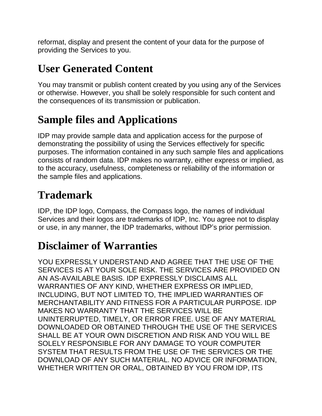reformat, display and present the content of your data for the purpose of providing the Services to you.

## **User Generated Content**

You may transmit or publish content created by you using any of the Services or otherwise. However, you shall be solely responsible for such content and the consequences of its transmission or publication.

# **Sample files and Applications**

IDP may provide sample data and application access for the purpose of demonstrating the possibility of using the Services effectively for specific purposes. The information contained in any such sample files and applications consists of random data. IDP makes no warranty, either express or implied, as to the accuracy, usefulness, completeness or reliability of the information or the sample files and applications.

#### **Trademark**

IDP, the IDP logo, Compass, the Compass logo, the names of individual Services and their logos are trademarks of IDP, Inc. You agree not to display or use, in any manner, the IDP trademarks, without IDP's prior permission.

#### **Disclaimer of Warranties**

YOU EXPRESSLY UNDERSTAND AND AGREE THAT THE USE OF THE SERVICES IS AT YOUR SOLE RISK. THE SERVICES ARE PROVIDED ON AN AS-AVAILABLE BASIS. IDP EXPRESSLY DISCLAIMS ALL WARRANTIES OF ANY KIND, WHETHER EXPRESS OR IMPLIED, INCLUDING, BUT NOT LIMITED TO, THE IMPLIED WARRANTIES OF MERCHANTABILITY AND FITNESS FOR A PARTICULAR PURPOSE. IDP MAKES NO WARRANTY THAT THE SERVICES WILL BE UNINTERRUPTED, TIMELY, OR ERROR FREE. USE OF ANY MATERIAL DOWNLOADED OR OBTAINED THROUGH THE USE OF THE SERVICES SHALL BE AT YOUR OWN DISCRETION AND RISK AND YOU WILL BE SOLELY RESPONSIBLE FOR ANY DAMAGE TO YOUR COMPUTER SYSTEM THAT RESULTS FROM THE USE OF THE SERVICES OR THE DOWNLOAD OF ANY SUCH MATERIAL. NO ADVICE OR INFORMATION, WHETHER WRITTEN OR ORAL, OBTAINED BY YOU FROM IDP, ITS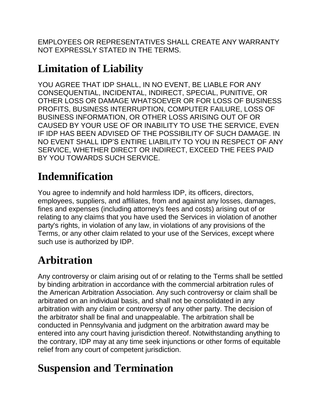EMPLOYEES OR REPRESENTATIVES SHALL CREATE ANY WARRANTY NOT EXPRESSLY STATED IN THE TERMS.

## **Limitation of Liability**

YOU AGREE THAT IDP SHALL, IN NO EVENT, BE LIABLE FOR ANY CONSEQUENTIAL, INCIDENTAL, INDIRECT, SPECIAL, PUNITIVE, OR OTHER LOSS OR DAMAGE WHATSOEVER OR FOR LOSS OF BUSINESS PROFITS, BUSINESS INTERRUPTION, COMPUTER FAILURE, LOSS OF BUSINESS INFORMATION, OR OTHER LOSS ARISING OUT OF OR CAUSED BY YOUR USE OF OR INABILITY TO USE THE SERVICE, EVEN IF IDP HAS BEEN ADVISED OF THE POSSIBILITY OF SUCH DAMAGE. IN NO EVENT SHALL IDP'S ENTIRE LIABILITY TO YOU IN RESPECT OF ANY SERVICE, WHETHER DIRECT OR INDIRECT, EXCEED THE FEES PAID BY YOU TOWARDS SUCH SERVICE.

## **Indemnification**

You agree to indemnify and hold harmless IDP, its officers, directors, employees, suppliers, and affiliates, from and against any losses, damages, fines and expenses (including attorney's fees and costs) arising out of or relating to any claims that you have used the Services in violation of another party's rights, in violation of any law, in violations of any provisions of the Terms, or any other claim related to your use of the Services, except where such use is authorized by IDP.

# **Arbitration**

Any controversy or claim arising out of or relating to the Terms shall be settled by binding arbitration in accordance with the commercial arbitration rules of the American Arbitration Association. Any such controversy or claim shall be arbitrated on an individual basis, and shall not be consolidated in any arbitration with any claim or controversy of any other party. The decision of the arbitrator shall be final and unappealable. The arbitration shall be conducted in Pennsylvania and judgment on the arbitration award may be entered into any court having jurisdiction thereof. Notwithstanding anything to the contrary, IDP may at any time seek injunctions or other forms of equitable relief from any court of competent jurisdiction.

#### **Suspension and Termination**